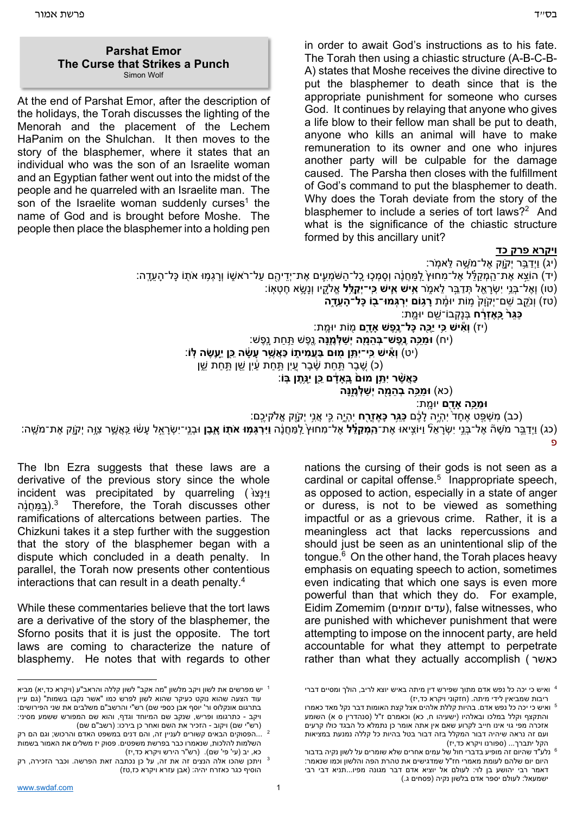At the end of Parshat Emor, after the description of the holidays, the Torah discusses the lighting of the Menorah and the placement of the Lechem HaPanim on the Shulchan. It then moves to the story of the blasphemer, where it states that an individual who was the son of an Israelite woman and an Egyptian father went out into the midst of the people and he quarreled with an Israelite man. The son of the Israelite woman suddenly curses<sup>1</sup> the name of God and is brought before Moshe. The people then place the blasphemer into a holding pen

in order to await God's instructions as to his fate. The Torah then using a chiastic structure (A-B-C-B-A) states that Moshe receives the divine directive to put the blasphemer to death since that is the appropriate punishment for someone who curses God. It continues by relaying that anyone who gives a life blow to their fellow man shall be put to death, anyone who kills an animal will have to make remuneration to its owner and one who injures another party will be culpable for the damage caused. The Parsha then closes with the fulfillment of God's command to put the blasphemer to death. Why does the Torah deviate from the story of the blasphemer to include a series of tort laws? $2$  And what is the significance of the chiastic structure formed by this ancillary unit?

## **ויקרא פרק כד**

(יג) וַיְדַבֵּר יִקְוֶק אֶל־מַשֶׁה לֵּאמֹר:

ָׂ הוֹצָא אֶת־הָמַקלל אֶל־מחוּץ לְמַחֲנֶה וְסִמְכָוּ כָל־הֹשַׁמְעֶים אֶת־יְדִיהֶם על־רֹאשָׁו וְרְגְמוּ אֹתָו כַּל־הַעַדֶּה:

(טו) וְ ֶא ְ ל־ּבֵ֥ני יִ ְׂשָרֵ֖אל ְּתַדֵּ֣בר ֵל ֑אמֹר **ִ֥איׁש ִ֛איׁש ִּכֽי־יְ ַקֵּ֥לל** ֱא ָֹ֖לקיו וְנָ ָׂ֥שא ֶח ְט ֽאֹו:

(טז) וְנֵֹ֤קב ֵׁשם־יְקֹוָ ֙ק ֣מֹות ָ֔ יּומת **ָר֥גֹום יִ ְר ְּג ֖ מּו־בֹו ָּכ ָ ל־ה ֵעָ֑דה**

```
ַּכ ֵּג ֙ר ָּכֽ ֶא ְזָ֔רח ְּבנָ ְק ֵ֖ בֹו־ׁשם ָ ֽ יּומת:
```
(יז) **וְ ִ֕איׁש ִּ֥כי יֶַּ֖כה ָּכ ֶ ל־נ֣ ֶפׁש ָָ֑אדם** ֖מֹות ָ ֽ יּומת:

(יח) **ַּומֵּ֥כה ֶנֶֽפ ְ ׁש־ּב ֵהָ֖מה יְ ַׁש ְּלֶ֑מ ָּנה** ֶ֖נ ֶפׁש ַּ֥ת ַחת ָנֽ ֶפׁש:

(יט) **וְ ִ֕איׁש ִּכֽי־יִ ֵּ֥תן ֖מּום ַּבֲע ִמ ֑יתֹו ַּכ ֲא ֶׁ֣שר ָע ָׂ֔שה ֵּ֖כן יֵָ֥ע ֶׂשה ּֽלֹו**:

(כ) שבר תּחת שבר עין תּחת עין שו תּחת שו

**ַּכ ֲא ֶׁ֨שר יִ ֵּ֥תן ֙מּום ָּבֽ ָָ֔אדם ֵּ֖כן יִָּנ֥ ֶתן ּֽבֹו**:

(כא) **ַּומֵּ֥כה ְב ֵהָ֖מה יְ ַׁש ְּלֶ֑מ ָּנה**

```
ַּומֵּ֥כה ָָ֖אדם ָ ֽ יּומת:
```
(כב) ִמ ְׁשַּ֤פט ֶא ָח ֙ד יִ ְהֶ֣יה ָל ֶ֔כם **ַּכֵּ֥גר ָּכ ֶא ְזָ֖רח** יִ ְהֶ֑יה ִּ֛כי ֲאִ֥ני יְקָֹ֖וק ֱאֹלק ֶיכֽם:

(כג) וַיְדַבֵּר מֹשֶׁה៏ אֶל־בְּנֵי יִשְׂרָאֵלٞ וַיּוֹצִיאוּ אֶת־הַמְּ**קַלֵּל** אֶל־מִחוּץ<sub>ٰ</sub> לַמַּחֲנֶה וַיִּרְגָּמָוּ אֹתָוֹ אֶבֶן וּבְנֵי־יִשְׂרָאֵל עָשׂוּ כַּאֲשֶׁר צִוָּה יְקָוֶק אֶת־מֹשֶׁה: פ

The Ibn Ezra suggests that these laws are a derivative of the previous story since the whole incident was precipitated by quarreling (וַיְנָּצוֹ במחנה).<sup>3</sup> Therefore, the Torah discusses other ramifications of altercations between parties. The Chizkuni takes it a step further with the suggestion that the story of the blasphemer began with a dispute which concluded in a death penalty. In parallel, the Torah now presents other contentious interactions that can result in a death penalty.4

While these commentaries believe that the tort laws are a derivative of the story of the blasphemer, the Sforno posits that it is just the opposite. The tort laws are coming to characterize the nature of blasphemy. He notes that with regards to other

nations the cursing of their gods is not seen as a cardinal or capital offense.<sup>5</sup> Inappropriate speech, as opposed to action, especially in a state of anger or duress, is not to be viewed as something impactful or as a grievous crime. Rather, it is a meaningless act that lacks repercussions and should just be seen as an unintentional slip of the tongue. $6$  On the other hand, the Torah places heavy emphasis on equating speech to action, sometimes even indicating that which one says is even more powerful than that which they do. For example, Eidim Zomemim (זוממים עדים(, false witnesses, who are punished with whichever punishment that were attempting to impose on the innocent party, are held accountable for what they attempt to perpetrate rather than what they actually accomplish ( כאשר

יש מפרשים את לשון ויקב מלשון "מה אקב" לשון קללה והראב"ע (ויקרא כד,יא) מביא <sup>1</sup> עוד הצעה שהוא נוקט כעיקר שהוא לשון לפרש כמו "אשר נקבו בשמות" (גם עיין בתרגום אונקלוס ור' יוסף אבן כספי שם) רש"י והרשב"ם משלבים את שני הפירושים: ויקב - כתרגומו ופריש, שנקב שם המיוחד וגדף, והוא שם המפורש ששמע מסיני:<br>(רש"י שם) ויקוב - הזכיר את השם ואחר כן בירכו: (רשב"ם שם)

<sup>..&</sup>lt;br>2 ...הפסוקים הבאים קשורים לעניין זה, והם דנים במשפט האדם והרכוש; וגם הם רק -השלמות להלכות, שנאמרו כבר בפרשת משפטים. פסוק יז משלים את האמור בשמות<br>כא, יב (עי' פי' שם). (רש"ר הירש ויקרא כד,יז)

ויתכן שהכו אלה הנצים זה את זה, על כן נכתבה זאת הפרשה. וכבר הזכירה, רק  $^3$ הוסיף כגר כאזרח יהיה: (אבן עזרא ויקרא כז,טז)

ואיש כי יכה כל נפש אדם מתוך שפירש דין מיתה באיש יוצא לריב, הולך ומסיים דברי <sup>4</sup>

ריבות שמביאין לידי מיתה. (חזקוני ויקרא כד,יז)<br><sup>5</sup> ואיש כי יכה כל נפש אדם. בהיות קללת אלהים אצל קצת האומות דבר נקל מאד כאמרו והתקצף וקלל במלכו ובאלהיו (ישעיהו ח, כא) וכאמרם ז"ל (סנהדרין ס א) השומע אזכרה מפי גוי אינו חייב לקרוע שאם אין אתה אומר כן נתמלא כל הבגד כולו קרעים ועם זה נראה שיהיה דבור המקלל בזה דבור בטל בהיות כל קללה נמנעת במציאות

הקל יתברך... (ספורנו ויקרא כד,יז)<br>נלע"ד שהיום זה מופיע בדברי חול של עמים אחרים שלא שומרים על לשון נקיה בדבור  $^6$ היום יום שלהם לעומת מאמרי חז"ל שמדגישים את טהרת הפה והלשון וכמו שנאמר: דאמר רבי יהושע בן לוי: לעולם אל יוציא אדם דבר מגונה מפיו...תניא דבי רבי ישמעאל: לעולם יספר אדם בלשון נקיה (פסחים ג.)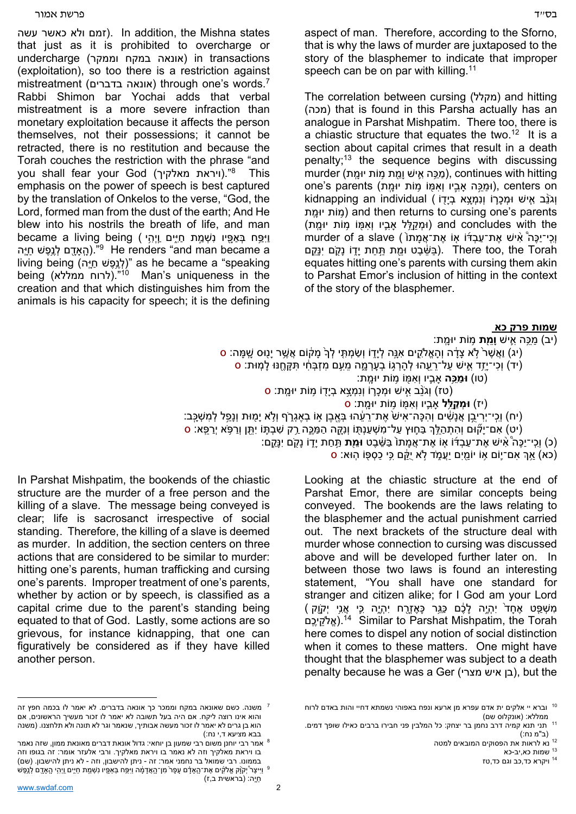זמם ולא כאשר עשה). In addition, the Mishna states that just as it is prohibited to overcharge or transactions in) אונאה במקח וממקר) undercharge (exploitation), so too there is a restriction against mistreatment (אונאה בדברים) through one's words.<sup>7</sup> Rabbi Shimon bar Yochai adds that verbal mistreatment is a more severe infraction than monetary exploitation because it affects the person themselves, not their possessions; it cannot be retracted, there is no restitution and because the Torah couches the restriction with the phrase "and you shall fear your God (ויראת מאלקיך)."8 This emphasis on the power of speech is best captured by the translation of Onkelos to the verse, "God, the Lord, formed man from the dust of the earth; And He blew into his nostrils the breath of life, and man became a living being (יְפֶח בְּאַפֶּיו נִשְׁמַת חַיֶּים וַיְהָי הַאדָם לְנֵפָּשׁ חיֵה "<sup>9</sup> He renders "and man became a living being (לְנֵפָּשׁ חַיָּה)" as he became a "speaking being (לרוח ממללא)."<sup>10</sup> Man's uniqueness in the creation and that which distinguishes him from the animals is his capacity for speech; it is the defining

בס"ד פרשת אמור  $\epsilon$ aspect of man. Therefore, according to the Sforno, that is why the laws of murder are juxtaposed to the story of the blasphemer to indicate that improper

> The correlation between cursing (מקלל (and hitting (מכה (that is found in this Parsha actually has an analogue in Parshat Mishpatim. There too, there is a chiastic structure that equates the two.<sup>12</sup> It is a section about capital crimes that result in a death penalty;13 the sequence begins with discussing murder (מֵכֵּה אֵישׁ וַמֵּת מוֹת יוּמת), continues with hitting one's parents (וּמֵכָּה אבָיו וְאִמְּוֹ מָוֹת יוּמַת), centers on kidnapping an individual ( וְנִמְצָא בְיָדָו ומות יומת (and then returns to cursing one's parents וּמהַלל אביו ואמּוֹ מוֹת יוּמת) and concludes with the וְ יִרֵי־יַכֵּה ۚ אִישׁ אֶת־עֲבִדֹּוֹ אָוֹ אֱת־אֲמָתוֹ ) murder of a slave בּשּׁבֵט וּמִת תַּחת יַדָּוֹ נַקֶם יִנַּקְם). There too, the Torah equates hitting one's parents with cursing them akin to Parshat Emor's inclusion of hitting in the context of the story of the blasphemer.

speech can be on par with killing.<sup>11</sup>

## **שמות פרק כא**

(יב) ַמֵּ֥כה ִ֛איׁש **וֵָ֖מת** ֥מֹות ָ ֽ יּומת:

- (יג) וַאֲשֶׁר לְא צָדָ֫ה וְהָאֱלֹקֻים אָנֵּה לְיָדָוֹ וִשַּׂמְתָּי לְךָ מַקּוֹם אֲשֵׁר יַנוּס שַׁמַּה: ס)
	- (יד) וכי־יזד איש על־רעהו להרגו בערמה מעם מזבּחי תקחנו למות: ס
		- (טו) **ַּומֵּ֥כה** ִָ֛אביו וְ ִאּ֖מֹו ֥מֹות ָ ֽ יּומת:
		- (טז) וְגֹנֵב אִישׁ וּמְכָרוֹ וְנִמְצָא בְיָדָוֹ מָוֹת יוּמֶת: ס)
			- (יז) **ְּומ ַקֵּ֥לל** ִָ֛אביו וְ ִאּ֖מֹו ֥מֹות ָ ֽ יּומת: ס
- (יח) וְכִי־יְרִיבֵן אֲנַשִּׁים וְהִכָּה־אִישׁׂ אֶת־רֱעֶ֫הוּ בְּאֱבֶן אִוֹ בְאֵגְרֶֹף וְלָא יַמְוּת וְנַפֵל לְמִשְׁכֵּב:
- ֿיט) אִם־יָקֿוּם וְהִתְהַלֵּךְ בַּחֶוּץ עַל־מִשְׁעַנְתָּוֹ וְנֵקֶה הַמַּכֶּה רַק שִׁבְתֶּוֹ יִתֱן וְרַפָּא יְרַפֵּא: ס'
	- (כ) וְכִי־יַכָּה אִישׁ אַת־עַבְדֹּוֹ אָוֹ אַת־אֱמתוֹ בַּשַּׁבט **וּמֵת** תִּחת יִדְוֹ נַקֶ<sup>ֹ</sup>ם יִנַּקְם).
		- (כא) אָךְ אִם־יֵוֹם אָוֹ יוֹמִים יַעֲמֹד לֹא יַקֶּם כִּי כַסְפּוֹ הוּאַ: ס

Looking at the chiastic structure at the end of Parshat Emor, there are similar concepts being conveyed. The bookends are the laws relating to the blasphemer and the actual punishment carried out. The next brackets of the structure deal with murder whose connection to cursing was discussed above and will be developed further later on. In between those two laws is found an interesting statement, "You shall have one standard for stranger and citizen alike; for I God am your Lord ָמְשָׁפֵּ֖ט אֶחֲד יְהֶיֶה לַלֶּם כַּגֶּר כַּאֱזֶרֶח יְהֶיֶה כֵּי אֱנִי יְקָוֶק ) אלקיכם).<sup>14</sup> Similar to Parshat Mishpatim, the Torah here comes to dispel any notion of social distinction when it comes to these matters. One might have thought that the blasphemer was subject to a death penalty because he was a Ger (מצרי איש בן(, but the

In Parshat Mishpatim, the bookends of the chiastic structure are the murder of a free person and the killing of a slave. The message being conveyed is clear; life is sacrosanct irrespective of social standing. Therefore, the killing of a slave is deemed as murder. In addition, the section centers on three actions that are considered to be similar to murder: hitting one's parents, human trafficking and cursing one's parents. Improper treatment of one's parents, whether by action or by speech, is classified as a capital crime due to the parent's standing being equated to that of God. Lastly, some actions are so grievous, for instance kidnapping, that one can figuratively be considered as if they have killed another person.

וברא יי אלקים ית אדם עפרא מן ארעא ונפח באפוהי נשמתא דחיי והות באדם לרוח

ממללא: (אונקלוס שם)<br><sup>11</sup> תני תנא קמיה דרב נחמן בר יצחק: כל המלבין פני חבירו ברבים כאילו שופך דמים. (ב"מ נח:)

<sup>&</sup>lt;sup>12</sup> נא לראות את הפסוקים המובאים למטה<br><sup>13</sup> שמות כא,יב-כא<br><sup>14</sup> ויקרא כד,כב וגם כד,טז

משנה. כשם שאונאה במקח וממכר כך אונאה בדברים. לא יאמר לו בכמה חפץ זה <sup>7</sup> והוא אינו רוצה ליקח. אם היה בעל תשובה לא יאמר לו זכור מעשיך הראשונים, אם הוא בן גרים לא יאמר לו זכור מעשה אבותיך, שנאמר וגר לא תונה ולא תלחצנו. (משנה

בבא מציעא ד,י נח:)<br>אמר רבי יוחנן משום רבי שמעון בן יוחאי: גדול אונאת דברים מאונאת ממון, שזה נאמר 8 -בו ויראת מאלקיך וזה לא נאמר בו ויראת מאלקיך. ורבי אלעזר אומר: זה בגופו וזה בממונו. רבי שמואל בר נחמני אמר: זה - ניתן להישבון, וזה - לא ניתן להישבון. (שם)<br>יַיִּיצֶר יְקוֹק אֱלֹקֶים אֶת־הָאָלָם עָפָר מִן־הָאֲדָמָה וַיִּפֶח בְּאָפֵיו נִשְׁמֵת חַיֵּים וַיְהֵי הֵאָדֶם לְנֵפֵשׁ

<sup>ַ</sup>חָּיֽה: (בראשית ב,ז)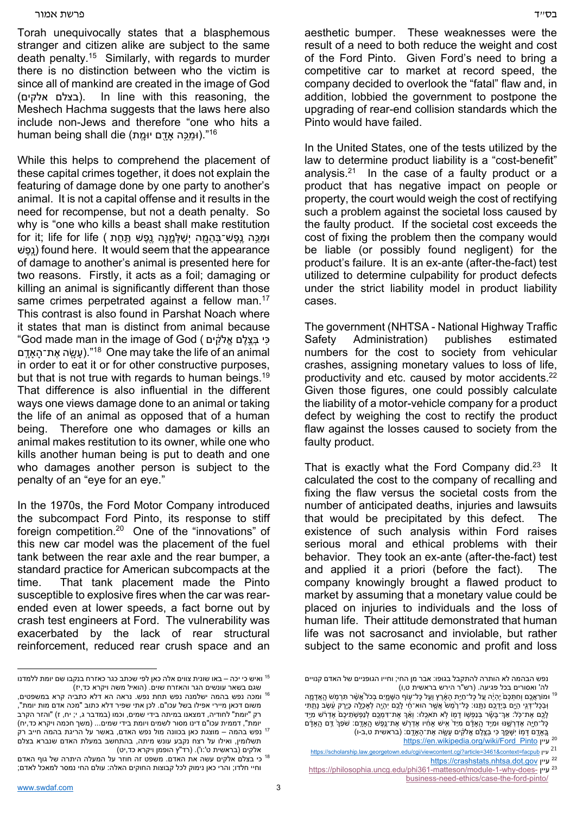## בס"ד פרשת אמור  $\epsilon$

Torah unequivocally states that a blasphemous stranger and citizen alike are subject to the same death penalty.15 Similarly, with regards to murder there is no distinction between who the victim is since all of mankind are created in the image of God (בצלם אלקים). In line with this reasoning, the Meshech Hachma suggests that the laws here also include non-Jews and therefore "one who hits a human being shall die (וּמֵכֵּה אדָם יוּמֵת)."<sup>16</sup>

While this helps to comprehend the placement of these capital crimes together, it does not explain the featuring of damage done by one party to another's animal. It is not a capital offense and it results in the need for recompense, but not a death penalty. So why is "one who kills a beast shall make restitution וּמֵכֶּה יֵנֵפָשׁ־בְּהֲמָה יְשַׁלְּמֵנַּה וֶפֶשׁ תַּחַת ) for it; life for life שׁפֶ ֽנָ (found here. It would seem that the appearance of damage to another's animal is presented here for two reasons. Firstly, it acts as a foil; damaging or killing an animal is significantly different than those same crimes perpetrated against a fellow man.<sup>17</sup> This contrast is also found in Parshat Noach where it states that man is distinct from animal because "God made man in the image of God ( לקיםִֹ֔ אֱ לםֶ צֶ֣בְּ כיִּ עשה את־האדם)."<sup>18</sup> One may take the life of an animal in order to eat it or for other constructive purposes, but that is not true with regards to human beings.<sup>19</sup> That difference is also influential in the different ways one views damage done to an animal or taking the life of an animal as opposed that of a human being. Therefore one who damages or kills an animal makes restitution to its owner, while one who kills another human being is put to death and one who damages another person is subject to the penalty of an "eye for an eye."

In the 1970s, the Ford Motor Company introduced the subcompact Ford Pinto, its response to stiff foreign competition.20 One of the "innovations" of this new car model was the placement of the fuel tank between the rear axle and the rear bumper, a standard practice for American subcompacts at the time. That tank placement made the Pinto susceptible to explosive fires when the car was rearended even at lower speeds, a fact borne out by crash test engineers at Ford. The vulnerability was exacerbated by the lack of rear structural reinforcement, reduced rear crush space and an

aesthetic bumper. These weaknesses were the result of a need to both reduce the weight and cost of the Ford Pinto. Given Ford's need to bring a competitive car to market at record speed, the company decided to overlook the "fatal" flaw and, in addition, lobbied the government to postpone the upgrading of rear-end collision standards which the Pinto would have failed.

In the United States, one of the tests utilized by the law to determine product liability is a "cost-benefit" analysis. $21$  In the case of a faulty product or a product that has negative impact on people or property, the court would weigh the cost of rectifying such a problem against the societal loss caused by the faulty product. If the societal cost exceeds the cost of fixing the problem then the company would be liable (or possibly found negligent) for the product's failure. It is an ex-ante (after-the-fact) test utilized to determine culpability for product defects under the strict liability model in product liability cases.

The government (NHTSA - National Highway Traffic Safety Administration) publishes estimated numbers for the cost to society from vehicular crashes, assigning monetary values to loss of life, productivity and etc. caused by motor accidents.<sup>22</sup> Given those figures, one could possibly calculate the liability of a motor-vehicle company for a product defect by weighing the cost to rectify the product flaw against the losses caused to society from the faulty product.

That is exactly what the Ford Company did. $23$  It calculated the cost to the company of recalling and fixing the flaw versus the societal costs from the number of anticipated deaths, injuries and lawsuits that would be precipitated by this defect. The existence of such analysis within Ford raises serious moral and ethical problems with their behavior. They took an ex-ante (after-the-fact) test and applied it a priori (before the fact). The company knowingly brought a flawed product to market by assuming that a monetary value could be placed on injuries to individuals and the loss of human life. Their attitude demonstrated that human life was not sacrosanct and inviolable, but rather subject to the same economic and profit and loss

20 https://en.wikipedia.org/wiki/Ford\_Pinto עיין

<sup>22</sup> https://crashstats.nhtsa.dot.gov עיין

<sup>&</sup>lt;sup>15</sup> ואיש כי יכה – באו שונית צווים אלה כאן לפי שכתב כגר כאזרח בנקבו שם יומת ללמדנו<br>שגם בשאר עונשים הגר והאזרח שוים. (הואיל משה ויקרא כד,יז)

יום.<br><sup>16</sup> ומכה נפש בהמה ישלמנה נפש תחת נפש. נראה הא דלא כתביה קרא במשפטים, משום דכאן מיירי אפילו בשל עכו"ם. לכן אתי שפיר דלא כתוב "מכה אדם מות יומת", רק "יומת" לחודיה, דמצאנו במיתה בידי שמים, וכמו (במדבר ג, י; יח, ז) "והזר הקרב<br>יומת", דממית עכו"ם דינו מסור לשמים ויומת בידי שמים... (משך חכמה ויקרא כד,יח) נפש בהמה – מוצגת כאן בכוונה מול נפש האדם, באשר על הריגת בהמה חייב רק 17 תשלומין, ואילו על רצח נקבע עונש מיתה, בהתחשב במעלת האדם שנברא בצלם<br>אלקים (בראשית ט':ו') (רד"ץ הופמן ויקרא כד,יט)

ים בצלם אלקים עשה את האדם. משפט זה חוזר על המעלה היתרה של גוף האדם <mark>18 אלקים עשה את</mark> וחיי חלדו; והרי כאן נימוק לכל קבוצות החוקים האלה: עולם החי נמסר למאכל לאדם;

נפש הבהמה לא הותרה להתקבל בגופו: אבר מן החי; וחייו הגופניים של האדם קנויים

לה' ואסורים בכל פגיעה. (רש"ר הירש בראשית ט,ו)<br><sup>19</sup> וּמוֹרַאֲכֶם וְחִתְּכָם ׂיְהִיֶּה עֵל כָּל־חַיָּת הָאֶרֶץ וְעֵל כָּל־עָוֹף הַשָּׁמֵיִם בְּכֹל<sup>ּ א</sup>ֲעֶׂיָר תִּרְמִשׁ הֲאֲדָמָה ַּוּבַכְל־דָּגֶי הִיְם בִּיִדְכָם נַתְּנוּ: כַּל־רֹמְשׂ אשׁר הוּא־חי לכם יִהְיָה לְאכְלָה כִּירֶק עָשׂב נַתְתִּי ָלֶלֶם אֶת־כָּל: אַךְ־בַּשֶׁר בְּנַפְשָׁו דָמו לְא תֹאכֶלוּ: וְאֶךְ אֶת־דְמֶכֶם לנַפְשָׁתֵיכֶם אֶדרֹש מַיֵּד ַּכָּל־חָיֶה אֶדְרָשֶׁנּוּ וּמְיֵיִד הֲאַדָם מְיַד ֹאֶישׁ אַחָ֫יו אֶדְרָשׁ אֶת־נֵפֶשׁ הֲאַדֶם: שֹׁפֶר ַדֵּם הֲאַדָם ָבְּאָדֶם דָּמְוֹ יִשָּׁפֵרְ כִּי בְּצֶלֶם אֱלֹקִים עָשֶׂה אֶת־הָאָדֶם: (בראשית ט,ב-ו)

<sup>21</sup> https://scholarship.law.georgetown.edu/cgi/viewcontent.cgi?article=3461&context=facpub עיין

<sup>23</sup> https://philosophia.uncg.edu/phi361-matteson/module-1-why-does- עיין business-need-ethics/case-the-ford-pinto/